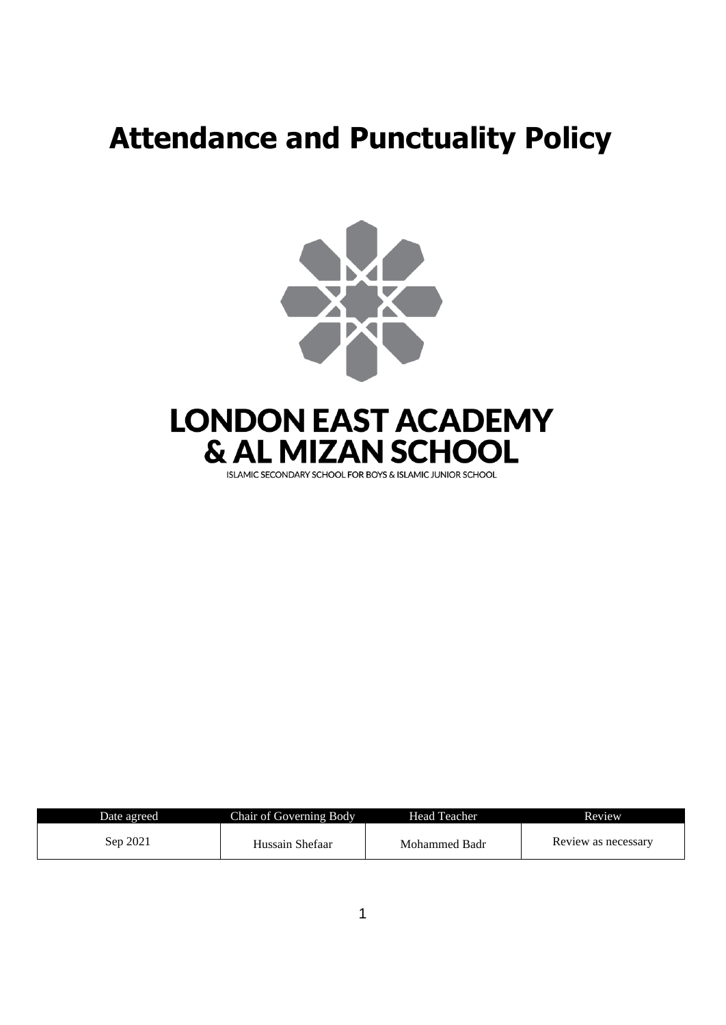# **Attendance and Punctuality Policy**



| Date agreed | <b>Chair of Governing Body</b> | Head Teacher  | Review              |
|-------------|--------------------------------|---------------|---------------------|
| Sep 2021    | Hussain Shefaar                | Mohammed Badr | Review as necessary |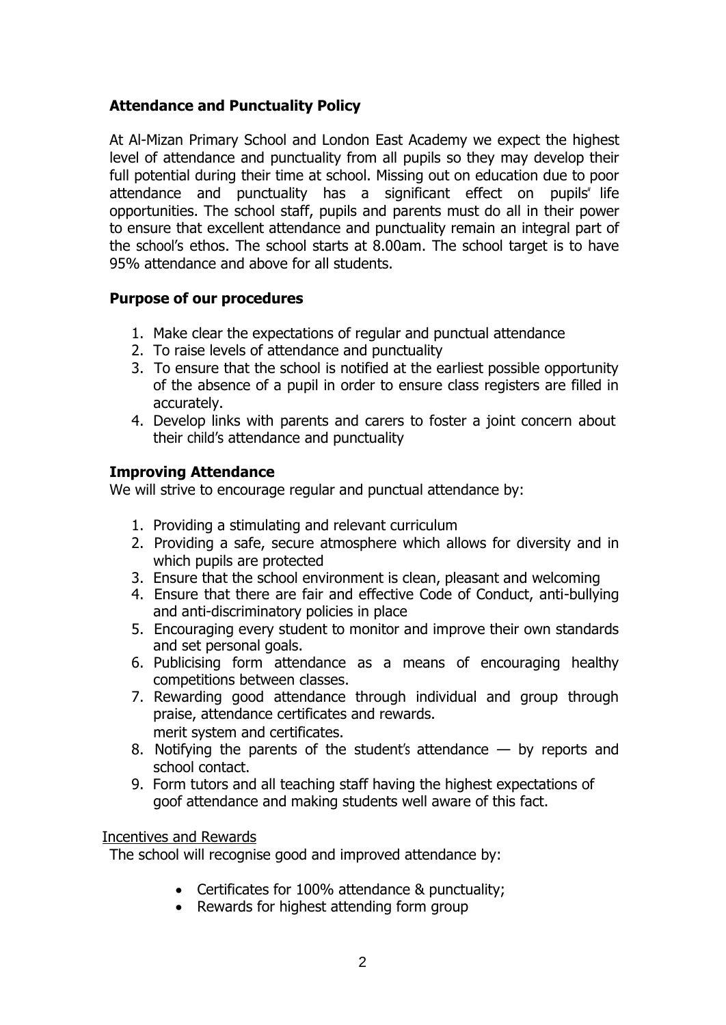# **Attendance and Punctuality Policy**

At Al-Mizan Primary School and London East Academy we expect the highest level of attendance and punctuality from all pupils so they may develop their full potential during their time at school. Missing out on education due to poor attendance and punctuality has a significant effect on pupils" life opportunities. The school staff, pupils and parents must do all in their power to ensure that excellent attendance and punctuality remain an integral part of the school's ethos. The school starts at 8.00am. The school target is to have 95% attendance and above for all students.

#### **Purpose of our procedures**

- 1. Make clear the expectations of regular and punctual attendance
- 2. To raise levels of attendance and punctuality
- 3. To ensure that the school is notified at the earliest possible opportunity of the absence of a pupil in order to ensure class registers are filled in accurately.
- 4. Develop links with parents and carers to foster a joint concern about their child's attendance and punctuality

## **Improving Attendance**

We will strive to encourage regular and punctual attendance by:

- 1. Providing a stimulating and relevant curriculum
- 2. Providing a safe, secure atmosphere which allows for diversity and in which pupils are protected
- 3. Ensure that the school environment is clean, pleasant and welcoming
- 4. Ensure that there are fair and effective Code of Conduct, anti-bullying and anti-discriminatory policies in place
- 5. Encouraging every student to monitor and improve their own standards and set personal goals.
- 6. Publicising form attendance as a means of encouraging healthy competitions between classes.
- 7. Rewarding good attendance through individual and group through praise, attendance certificates and rewards. merit system and certificates.
- 8. Notifying the parents of the student's attendance by reports and school contact.
- 9. Form tutors and all teaching staff having the highest expectations of goof attendance and making students well aware of this fact.

#### Incentives and Rewards

The school will recognise good and improved attendance by:

- Certificates for 100% attendance & punctuality;
- Rewards for highest attending form group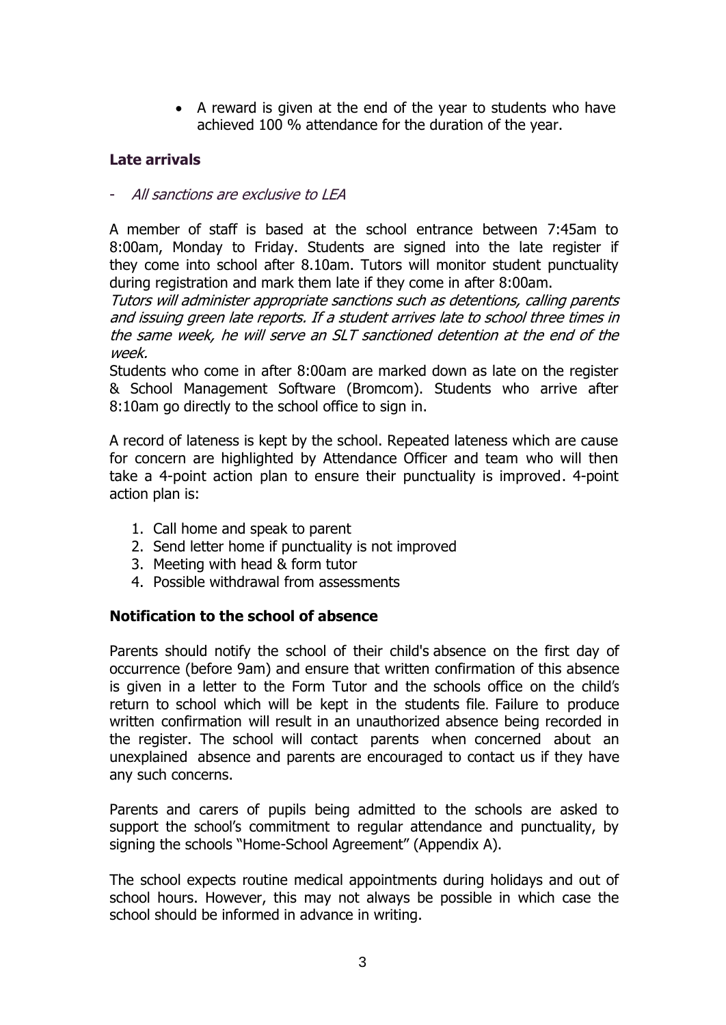• A reward is given at the end of the year to students who have achieved 100 % attendance for the duration of the year.

#### **Late arrivals**

- All sanctions are exclusive to LEA

A member of staff is based at the school entrance between 7:45am to 8:00am, Monday to Friday. Students are signed into the late register if they come into school after 8.10am. Tutors will monitor student punctuality during registration and mark them late if they come in after 8:00am.

Tutors will administer appropriate sanctions such as detentions, calling parents and issuing green late reports. If a student arrives late to school three times in the same week, he will serve an SLT sanctioned detention at the end of the week.

Students who come in after 8:00am are marked down as late on the register & School Management Software (Bromcom). Students who arrive after 8:10am go directly to the school office to sign in.

A record of lateness is kept by the school. Repeated lateness which are cause for concern are highlighted by Attendance Officer and team who will then take a 4-point action plan to ensure their punctuality is improved. 4-point action plan is:

- 1. Call home and speak to parent
- 2. Send letter home if punctuality is not improved
- 3. Meeting with head & form tutor
- 4. Possible withdrawal from assessments

#### **Notification to the school of absence**

Parents should notify the school of their child's absence on the first day of occurrence (before 9am) and ensure that written confirmation of this absence is given in a letter to the Form Tutor and the schools office on the child's return to school which will be kept in the students file. Failure to produce written confirmation will result in an unauthorized absence being recorded in the register. The school will contact parents when concerned about an unexplained absence and parents are encouraged to contact us if they have any such concerns.

Parents and carers of pupils being admitted to the schools are asked to support the school's commitment to regular attendance and punctuality, by signing the schools "Home-School Agreement" (Appendix A).

The school expects routine medical appointments during holidays and out of school hours. However, this may not always be possible in which case the school should be informed in advance in writing.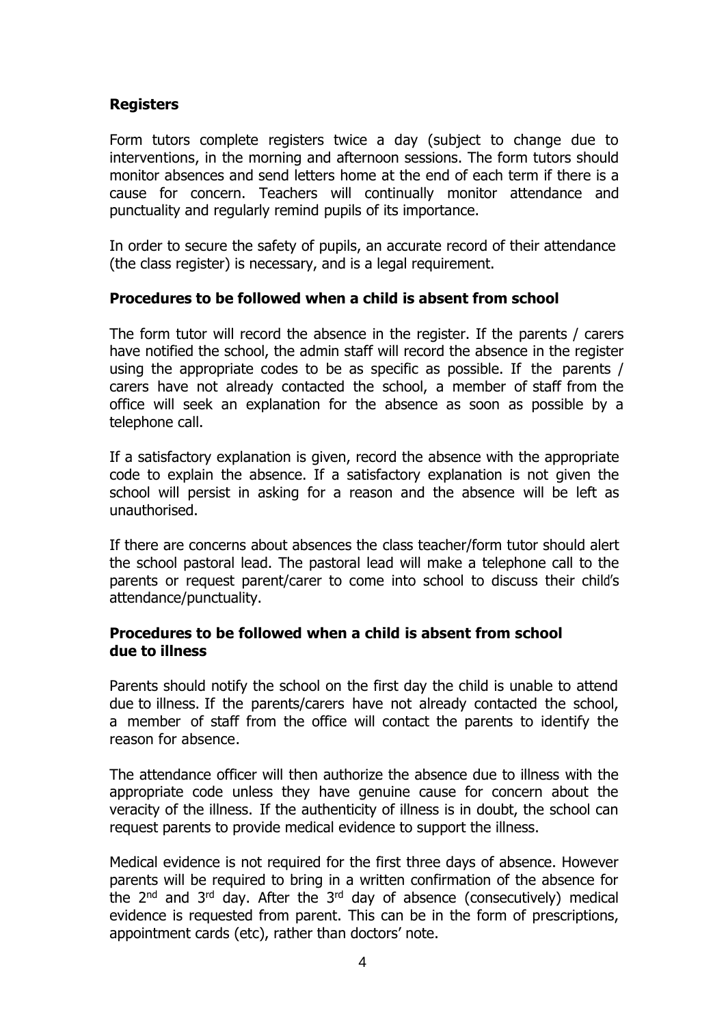#### **Registers**

Form tutors complete registers twice a day (subject to change due to interventions, in the morning and afternoon sessions. The form tutors should monitor absences and send letters home at the end of each term if there is a cause for concern. Teachers will continually monitor attendance and punctuality and regularly remind pupils of its importance.

In order to secure the safety of pupils, an accurate record of their attendance (the class register) is necessary, and is a legal requirement.

#### **Procedures to be followed when a child is absent from school**

The form tutor will record the absence in the register. If the parents / carers have notified the school, the admin staff will record the absence in the register using the appropriate codes to be as specific as possible. If the parents / carers have not already contacted the school, a member of staff from the office will seek an explanation for the absence as soon as possible by a telephone call.

If a satisfactory explanation is given, record the absence with the appropriate code to explain the absence. If a satisfactory explanation is not given the school will persist in asking for a reason and the absence will be left as unauthorised.

If there are concerns about absences the class teacher/form tutor should alert the school pastoral lead. The pastoral lead will make a telephone call to the parents or request parent/carer to come into school to discuss their child's attendance/punctuality.

#### **Procedures to be followed when a child is absent from school due to illness**

Parents should notify the school on the first day the child is unable to attend due to illness. If the parents/carers have not already contacted the school, a member of staff from the office will contact the parents to identify the reason for absence.

The attendance officer will then authorize the absence due to illness with the appropriate code unless they have genuine cause for concern about the veracity of the illness. If the authenticity of illness is in doubt, the school can request parents to provide medical evidence to support the illness.

Medical evidence is not required for the first three days of absence. However parents will be required to bring in a written confirmation of the absence for the  $2<sup>nd</sup>$  and  $3<sup>rd</sup>$  day. After the  $3<sup>rd</sup>$  day of absence (consecutively) medical evidence is requested from parent. This can be in the form of prescriptions, appointment cards (etc), rather than doctors' note.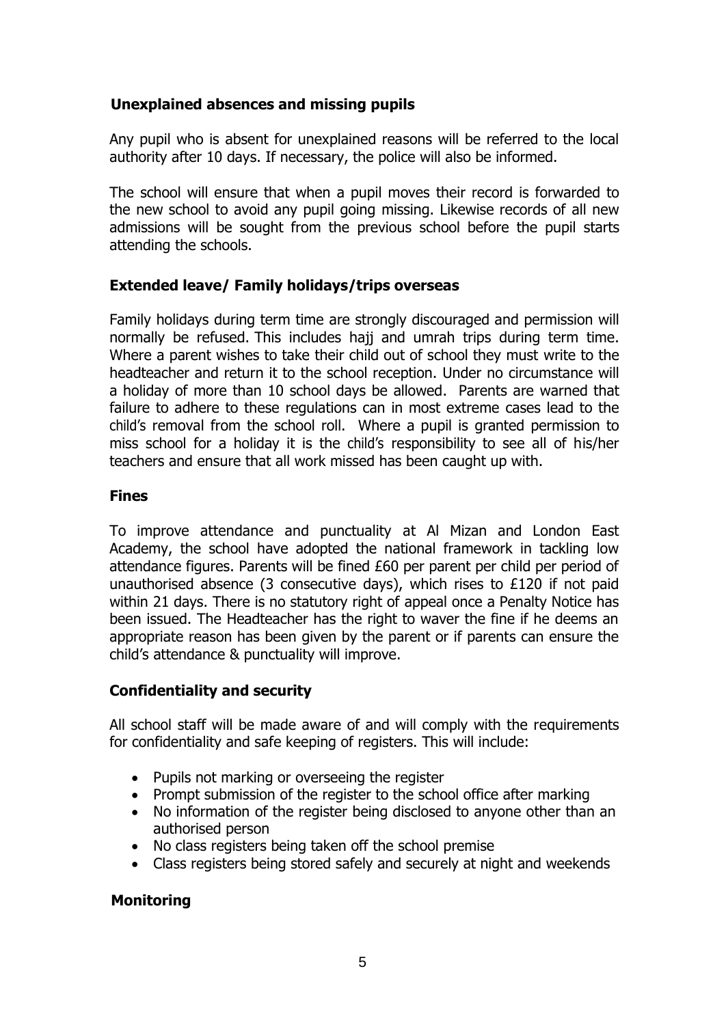#### **Unexplained absences and missing pupils**

Any pupil who is absent for unexplained reasons will be referred to the local authority after 10 days. If necessary, the police will also be informed.

The school will ensure that when a pupil moves their record is forwarded to the new school to avoid any pupil going missing. Likewise records of all new admissions will be sought from the previous school before the pupil starts attending the schools.

## **Extended leave/ Family holidays/trips overseas**

Family holidays during term time are strongly discouraged and permission will normally be refused. This includes hajj and umrah trips during term time. Where a parent wishes to take their child out of school they must write to the headteacher and return it to the school reception. Under no circumstance will a holiday of more than 10 school days be allowed. Parents are warned that failure to adhere to these regulations can in most extreme cases lead to the child's removal from the school roll. Where a pupil is granted permission to miss school for a holiday it is the child's responsibility to see all of his/her teachers and ensure that all work missed has been caught up with.

#### **Fines**

To improve attendance and punctuality at Al Mizan and London East Academy, the school have adopted the national framework in tackling low attendance figures. Parents will be fined £60 per parent per child per period of unauthorised absence (3 consecutive days), which rises to £120 if not paid within 21 days. There is no statutory right of appeal once a Penalty Notice has been issued. The Headteacher has the right to waver the fine if he deems an appropriate reason has been given by the parent or if parents can ensure the child's attendance & punctuality will improve.

#### **Confidentiality and security**

All school staff will be made aware of and will comply with the requirements for confidentiality and safe keeping of registers. This will include:

- Pupils not marking or overseeing the register
- Prompt submission of the register to the school office after marking
- No information of the register being disclosed to anyone other than an authorised person
- No class registers being taken off the school premise
- Class registers being stored safely and securely at night and weekends

#### **Monitoring**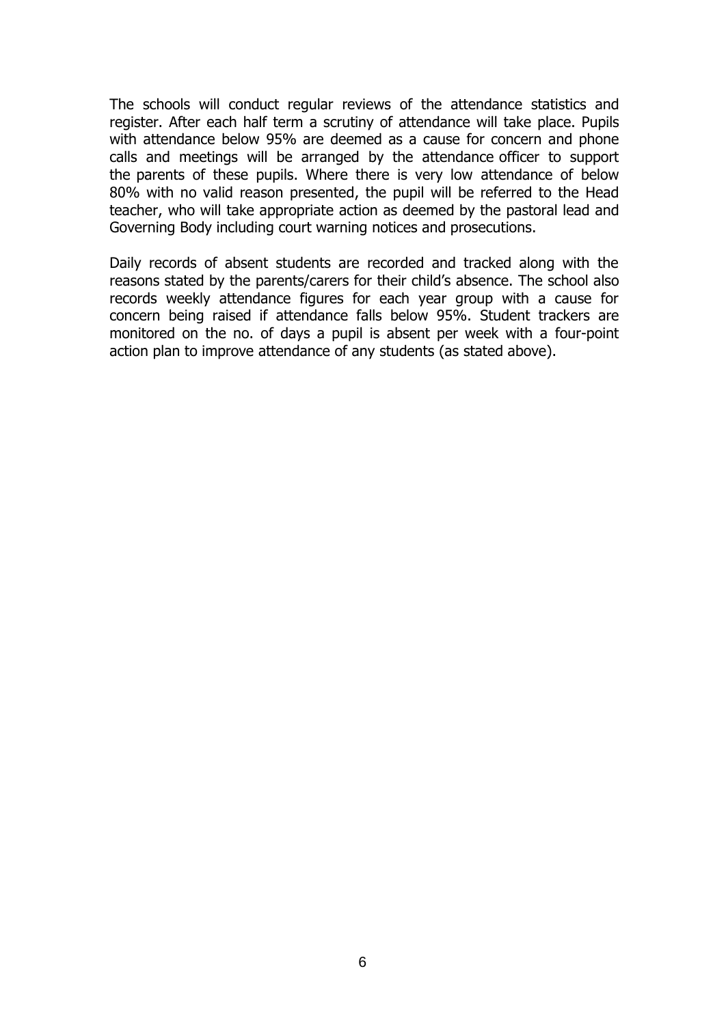The schools will conduct regular reviews of the attendance statistics and register. After each half term a scrutiny of attendance will take place. Pupils with attendance below 95% are deemed as a cause for concern and phone calls and meetings will be arranged by the attendance officer to support the parents of these pupils. Where there is very low attendance of below 80% with no valid reason presented, the pupil will be referred to the Head teacher, who will take appropriate action as deemed by the pastoral lead and Governing Body including court warning notices and prosecutions.

Daily records of absent students are recorded and tracked along with the reasons stated by the parents/carers for their child's absence. The school also records weekly attendance figures for each year group with a cause for concern being raised if attendance falls below 95%. Student trackers are monitored on the no. of days a pupil is absent per week with a four-point action plan to improve attendance of any students (as stated above).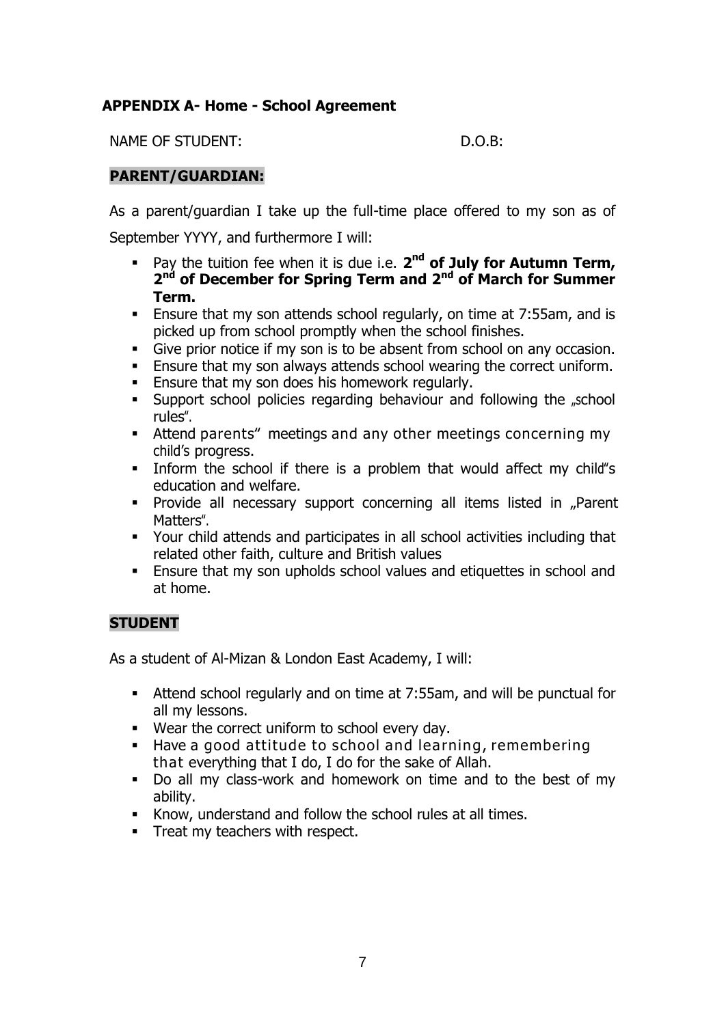# **APPENDIX A- Home - School Agreement**

NAME OF STUDENT: D.O.B:

#### **PARENT/GUARDIAN:**

As a parent/guardian I take up the full-time place offered to my son as of September YYYY, and furthermore I will:

- **•** Pay the tuition fee when it is due i.e. 2<sup>nd</sup> of July for Autumn Term, **2 nd of December for Spring Term and 2 nd of March for Summer Term.**
- Ensure that my son attends school regularly, on time at 7:55am, and is picked up from school promptly when the school finishes.
- Give prior notice if my son is to be absent from school on any occasion.
- **Ensure that my son always attends school wearing the correct uniform.**
- **Ensure that my son does his homework regularly.**
- Support school policies regarding behaviour and following the "school rules".
- **EXECT** Attend parents" meetings and any other meetings concerning my child's progress.
- Inform the school if there is a problem that would affect my child"s education and welfare.
- **•** Provide all necessary support concerning all items listed in "Parent Matters".
- Your child attends and participates in all school activities including that related other faith, culture and British values
- Ensure that my son upholds school values and etiquettes in school and at home.

# **STUDENT**

As a student of Al-Mizan & London East Academy, I will:

- Attend school regularly and on time at 7:55am, and will be punctual for all my lessons.
- Wear the correct uniform to school every day.
- Have a good attitude to school and learning, remembering that everything that I do, I do for the sake of Allah.
- Do all my class-work and homework on time and to the best of my ability.
- Know, understand and follow the school rules at all times.
- **•** Treat my teachers with respect.